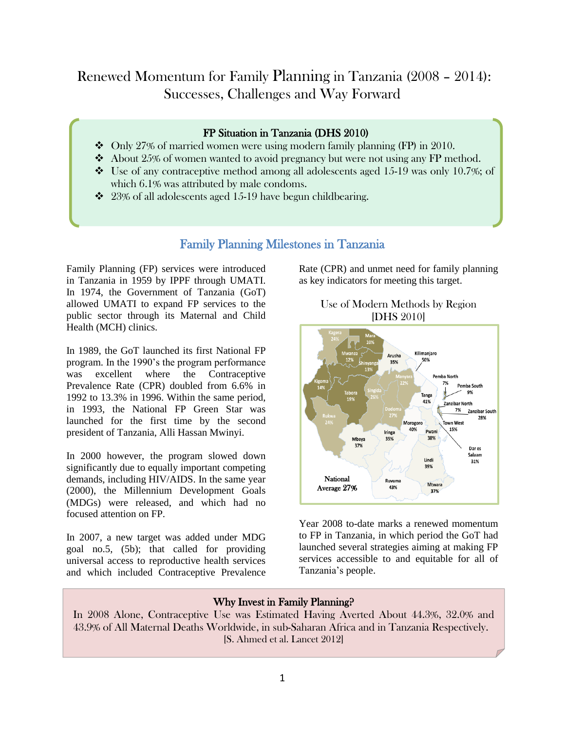# Renewed Momentum for Family Planning in Tanzania (2008 – 2014): Successes, Challenges and Way Forward

# FP Situation in Tanzania (DHS 2010)

- $\bullet$  Only 27% of married women were using modern family planning (FP) in 2010.
- $\triangleleft$  About 25% of women wanted to avoid pregnancy but were not using any FP method.
- $\div$  Use of any contraceptive method among all adolescents aged 15-19 was only 10.7%; of which  $6.1\%$  was attributed by male condoms.
- $\div$  23% of all adolescents aged 15-19 have begun childbearing.

# Family Planning Milestones in Tanzania

Family Planning (FP) services were introduced in Tanzania in 1959 by IPPF through UMATI. In 1974, the Government of Tanzania (GoT) allowed UMATI to expand FP services to the public sector through its Maternal and Child Health (MCH) clinics.

In 1989, the GoT launched its first National FP program. In the 1990's the program performance was excellent where the Contraceptive Prevalence Rate (CPR) doubled from 6.6% in 1992 to 13.3% in 1996. Within the same period, in 1993, the National FP Green Star was launched for the first time by the second president of Tanzania, Alli Hassan Mwinyi.

In 2000 however, the program slowed down significantly due to equally important competing demands, including HIV/AIDS. In the same year (2000), the Millennium Development Goals (MDGs) were released, and which had no focused attention on FP.

In 2007, a new target was added under MDG goal no.5, (5b); that called for providing universal access to reproductive health services and which included Contraceptive Prevalence Rate (CPR) and unmet need for family planning as key indicators for meeting this target.





Year 2008 to-date marks a renewed momentum to FP in Tanzania, in which period the GoT had launched several strategies aiming at making FP services accessible to and equitable for all of Tanzania's people.

# Why Invest in Family Planning?

In 2008 Alone, Contraceptive Use was Estimated Having Averted About 44.3%, 32.0% and 43.9% of All Maternal Deaths Worldwide, in sub-Saharan Africa and in Tanzania Respectively. [S. Ahmed et al. Lancet 2012]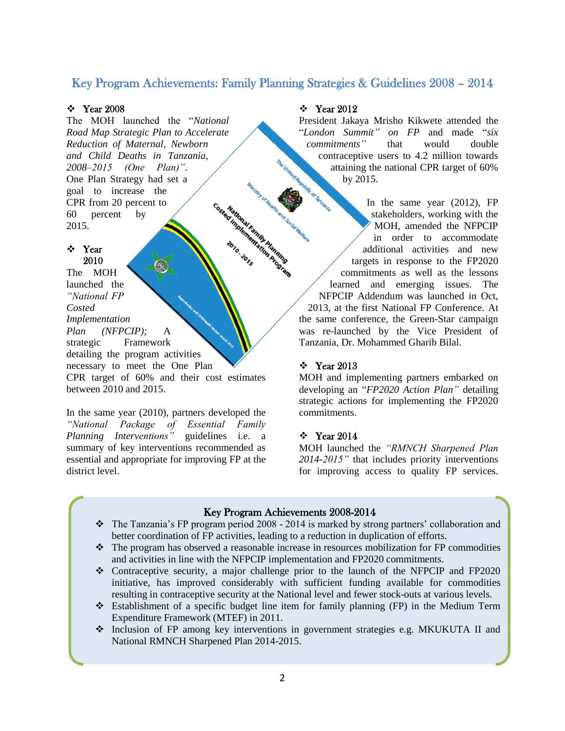# Key Program Achievements: Family Planning Strategies & Guidelines 2008 – 2014

### $\div$  Year 2008

The MOH launched the "*National Road Map Strategic Plan to Accelerate Reduction of Maternal, Newborn and Child Deaths in Tanzania, 2008–2015 (One Plan)"*. One Plan Strategy had set a goal to increase the CPR from 20 percent to 60 percent by 2015.

#### Year 2010

Costed Indian is a line of the Real Property of the Real Property of the Real Property of the Real Property of National Family Discrete and the Manual Corporation of the Manual Corporation of the Manual The MOH launched the *"National FP Costed Implementation Plan (NFPCIP);* A strategic Framework detailing the program activities necessary to meet the One Plan CPR target of 60% and their cost estimates between 2010 and 2015.

In the same year (2010), partners developed the *"National Package of Essential Family Planning Interventions"* guidelines i.e. a summary of key interventions recommended as essential and appropriate for improving FP at the district level.

### $\div$  Year 2012

President Jakaya Mrisho Kikwete attended the "*London Summit" on FP* and made "*six commitments"* that would double contraceptive users to 4.2 million towards attaining the national CPR target of 60% by 2015.

In the same year (2012), FP stakeholders, working with the MOH, amended the NFPCIP in order to accommodate additional activities and new targets in response to the FP2020 commitments as well as the lessons learned and emerging issues. The NFPCIP Addendum was launched in Oct, 2013, at the first National FP Conference. At the same conference, the Green-Star campaign was re-launched by the Vice President of Tanzania, Dr. Mohammed Gharib Bilal.

## $\div$  Year 2013

MOH and implementing partners embarked on developing an "*FP2020 Action Plan"* detailing strategic actions for implementing the FP2020 commitments.

### $\div$  Year 2014

MOH launched the *"RMNCH Sharpened Plan 2014-2015"* that includes priority interventions for improving access to quality FP services.

### Key Program Achievements 2008-2014

- $\div$  The Tanzania's FP program period 2008 2014 is marked by strong partners' collaboration and better coordination of FP activities, leading to a reduction in duplication of efforts.
- The program has observed a reasonable increase in resources mobilization for FP commodities and activities in line with the NFPCIP implementation and FP2020 commitments.
- Contraceptive security, a major challenge prior to the launch of the NFPCIP and FP2020 initiative, has improved considerably with sufficient funding available for commodities resulting in contraceptive security at the National level and fewer stock-outs at various levels.
- Establishment of a specific budget line item for family planning (FP) in the Medium Term Expenditure Framework (MTEF) in 2011.
- \* Inclusion of FP among key interventions in government strategies e.g. MKUKUTA II and National RMNCH Sharpened Plan 2014-2015.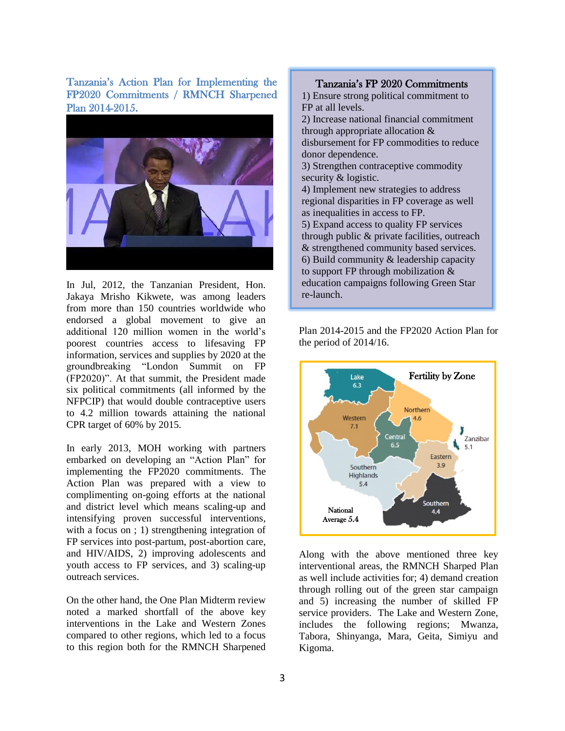Tanzania's Action Plan for Implementing the FP2020 Commitments / RMNCH Sharpened Plan 2014-2015.



In Jul, 2012, the Tanzanian President, Hon. Jakaya Mrisho Kikwete, was among leaders from more than 150 countries worldwide who endorsed a global movement to give an additional 120 million women in the world's poorest countries access to lifesaving FP information, services and supplies by 2020 at the groundbreaking "London Summit on FP (FP2020)". At that summit, the President made six political commitments (all informed by the NFPCIP) that would double contraceptive users to 4.2 million towards attaining the national CPR target of 60% by 2015.

In early 2013, MOH working with partners embarked on developing an "Action Plan" for implementing the FP2020 commitments. The Action Plan was prepared with a view to complimenting on-going efforts at the national and district level which means scaling-up and intensifying proven successful interventions, with a focus on ; 1) strengthening integration of FP services into post-partum, post-abortion care, and HIV/AIDS, 2) improving adolescents and youth access to FP services, and 3) scaling-up outreach services.

On the other hand, the One Plan Midterm review noted a marked shortfall of the above key interventions in the Lake and Western Zones compared to other regions, which led to a focus to this region both for the RMNCH Sharpened

Tanzania's FP 2020 Commitments 1) Ensure strong political commitment to FP at all levels. 2) Increase national financial commitment through appropriate allocation & disbursement for FP commodities to reduce donor dependence. 3) Strengthen contraceptive commodity security & logistic. 4) Implement new strategies to address regional disparities in FP coverage as well as inequalities in access to FP. 5) Expand access to quality FP services through public & private facilities, outreach & strengthened community based services. 6) Build community & leadership capacity to support FP through mobilization & education campaigns following Green Star re-launch.

Plan 2014-2015 and the FP2020 Action Plan for the period of 2014/16.



Along with the above mentioned three key interventional areas, the RMNCH Sharped Plan as well include activities for; 4) demand creation through rolling out of the green star campaign and 5) increasing the number of skilled FP service providers. The Lake and Western Zone, includes the following regions; Mwanza, Tabora, Shinyanga, Mara, Geita, Simiyu and Kigoma.